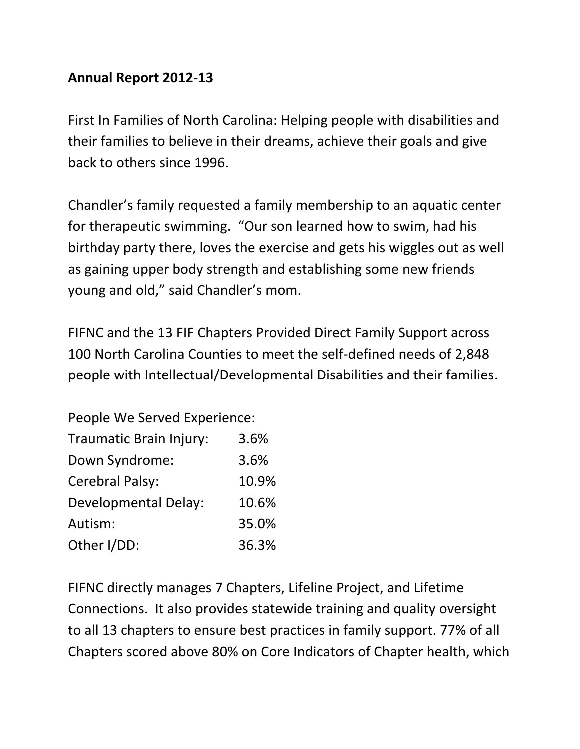## **Annual Report 2012-13**

First In Families of North Carolina: Helping people with disabilities and their families to believe in their dreams, achieve their goals and give back to others since 1996.

Chandler's family requested a family membership to an aquatic center for therapeutic swimming. "Our son learned how to swim, had his birthday party there, loves the exercise and gets his wiggles out as well as gaining upper body strength and establishing some new friends young and old," said Chandler's mom.

FIFNC and the 13 FIF Chapters Provided Direct Family Support across 100 North Carolina Counties to meet the self-defined needs of 2,848 people with Intellectual/Developmental Disabilities and their families.

| People We Served Experience: |       |  |
|------------------------------|-------|--|
| Traumatic Brain Injury:      | 3.6%  |  |
| Down Syndrome:               | 3.6%  |  |
| Cerebral Palsy:              | 10.9% |  |
| <b>Developmental Delay:</b>  | 10.6% |  |
| Autism:                      | 35.0% |  |
| Other I/DD:                  | 36.3% |  |

FIFNC directly manages 7 Chapters, Lifeline Project, and Lifetime Connections. It also provides statewide training and quality oversight to all 13 chapters to ensure best practices in family support. 77% of all Chapters scored above 80% on Core Indicators of Chapter health, which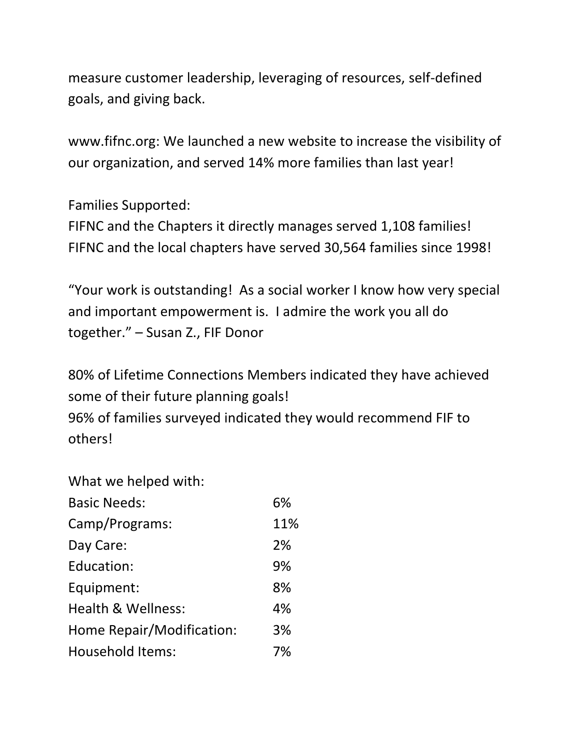measure customer leadership, leveraging of resources, self-defined goals, and giving back.

www.fifnc.org: We launched a new website to increase the visibility of our organization, and served 14% more families than last year!

Families Supported:

FIFNC and the Chapters it directly manages served 1,108 families! FIFNC and the local chapters have served 30,564 families since 1998!

"Your work is outstanding! As a social worker I know how very special and important empowerment is. I admire the work you all do together." – Susan Z., FIF Donor

80% of Lifetime Connections Members indicated they have achieved some of their future planning goals! 96% of families surveyed indicated they would recommend FIF to

others!

| What we helped with:      |     |
|---------------------------|-----|
| <b>Basic Needs:</b>       | 6%  |
| Camp/Programs:            | 11% |
| Day Care:                 | 2%  |
| Education:                | 9%  |
| Equipment:                | 8%  |
| Health & Wellness:        | 4%  |
| Home Repair/Modification: | 3%  |
| <b>Household Items:</b>   | 7%  |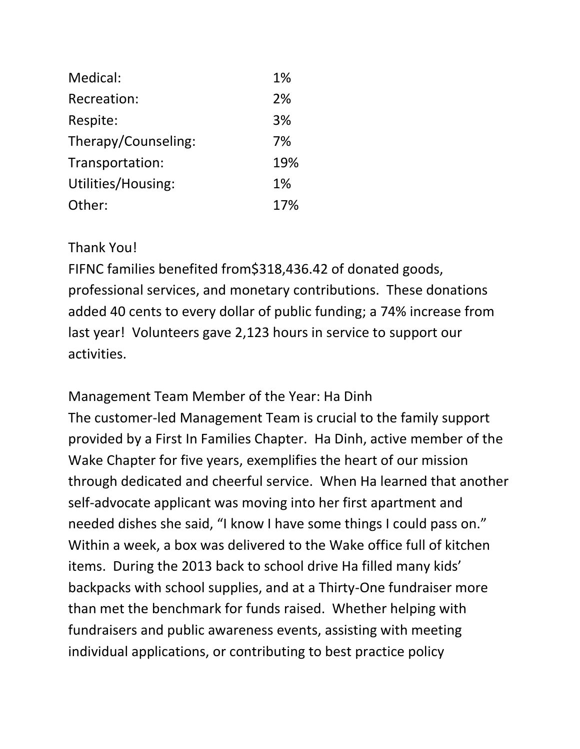| Medical:            | 1%  |
|---------------------|-----|
| Recreation:         | 2%  |
| Respite:            | 3%  |
| Therapy/Counseling: | 7%  |
| Transportation:     | 19% |
| Utilities/Housing:  | 1%  |
| Other:              | 17% |

## Thank You!

FIFNC families benefited from\$318,436.42 of donated goods, professional services, and monetary contributions. These donations added 40 cents to every dollar of public funding; a 74% increase from last year! Volunteers gave 2,123 hours in service to support our activities.

Management Team Member of the Year: Ha Dinh The customer-led Management Team is crucial to the family support provided by a First In Families Chapter. Ha Dinh, active member of the Wake Chapter for five years, exemplifies the heart of our mission through dedicated and cheerful service. When Ha learned that another self-advocate applicant was moving into her first apartment and needed dishes she said, "I know I have some things I could pass on." Within a week, a box was delivered to the Wake office full of kitchen items. During the 2013 back to school drive Ha filled many kids' backpacks with school supplies, and at a Thirty-One fundraiser more than met the benchmark for funds raised. Whether helping with fundraisers and public awareness events, assisting with meeting individual applications, or contributing to best practice policy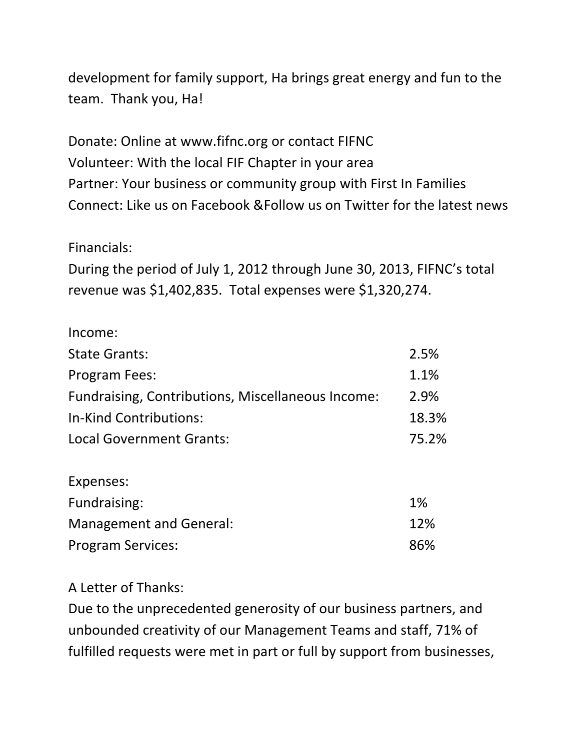development for family support, Ha brings great energy and fun to the team. Thank you, Ha!

Donate: Online at www.fifnc.org or contact FIFNC Volunteer: With the local FIF Chapter in your area Partner: Your business or community group with First In Families Connect: Like us on Facebook &Follow us on Twitter for the latest news

## Financials:

During the period of July 1, 2012 through June 30, 2013, FIFNC's total revenue was \$1,402,835. Total expenses were \$1,320,274.

| Income:                                           |       |
|---------------------------------------------------|-------|
| <b>State Grants:</b>                              | 2.5%  |
| Program Fees:                                     | 1.1%  |
| Fundraising, Contributions, Miscellaneous Income: | 2.9%  |
| In-Kind Contributions:                            | 18.3% |
| <b>Local Government Grants:</b>                   | 75.2% |
| Expenses:                                         |       |
| Fundraising:                                      | 1%    |
| <b>Management and General:</b>                    | 12%   |
| <b>Program Services:</b>                          | 86%   |

A Letter of Thanks:

Due to the unprecedented generosity of our business partners, and unbounded creativity of our Management Teams and staff, 71% of fulfilled requests were met in part or full by support from businesses,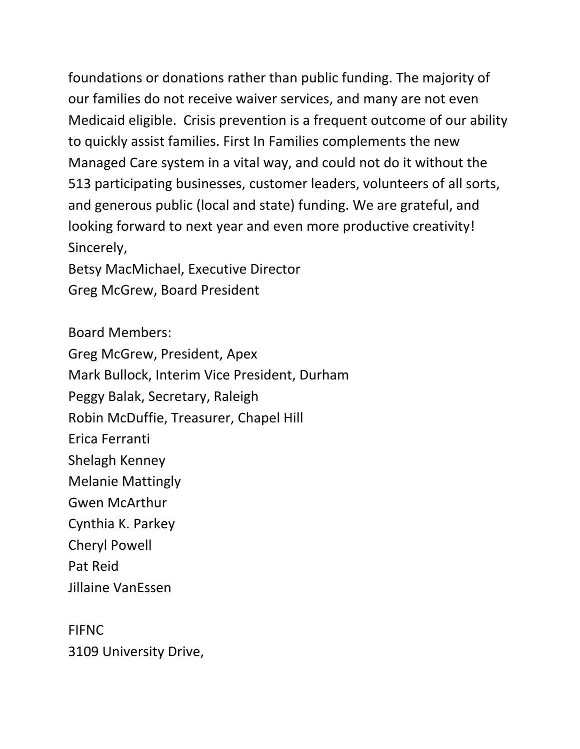foundations or donations rather than public funding. The majority of our families do not receive waiver services, and many are not even Medicaid eligible. Crisis prevention is a frequent outcome of our ability to quickly assist families. First In Families complements the new Managed Care system in a vital way, and could not do it without the 513 participating businesses, customer leaders, volunteers of all sorts, and generous public (local and state) funding. We are grateful, and looking forward to next year and even more productive creativity! Sincerely,

Betsy MacMichael, Executive Director Greg McGrew, Board President

Board Members: Greg McGrew, President, Apex Mark Bullock, Interim Vice President, Durham Peggy Balak, Secretary, Raleigh Robin McDuffie, Treasurer, Chapel Hill Erica Ferranti Shelagh Kenney Melanie Mattingly Gwen McArthur Cynthia K. Parkey Cheryl Powell Pat Reid Jillaine VanEssen

FIFNC 3109 University Drive,